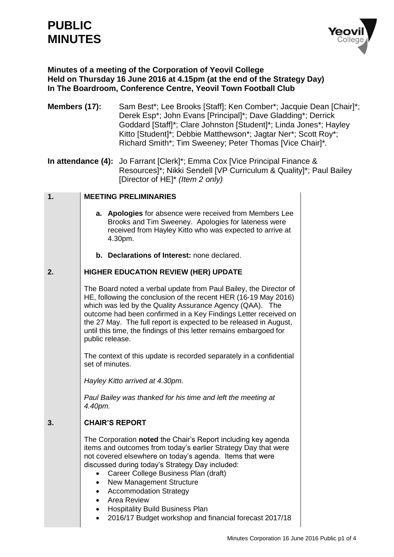# **PUBLIC MINUTES**



# **Minutes of a meeting of the Corporation of Yeovil College Held on Thursday 16 June 2016 at 4.15pm (at the end of the Strategy Day) In The Boardroom, Conference Centre, Yeovil Town Football Club**

**Members (17):** Sam Best\*; Lee Brooks [Staff]; Ken Comber\*; Jacquie Dean [Chair]\*; Derek Esp\*; John Evans [Principal]\*; Dave Gladding\*; Derrick Goddard [Staff]\*; Clare Johnston [Student]\*; Linda Jones\*; Hayley Kitto [Student]\*; Debbie Matthewson\*; Jagtar Ner\*; Scott Roy\*; Richard Smith\*; Tim Sweeney; Peter Thomas [Vice Chair]\**.* 

**In attendance (4):** Jo Farrant [Clerk]\*; Emma Cox [Vice Principal Finance & Resources]\*; Nikki Sendell [VP Curriculum & Quality]\*; Paul Bailey [Director of HE]\* *(Item 2 only)*

### **1. MEETING PRELIMINARIES**

- **a. Apologies** for absence were received from Members Lee Brooks and Tim Sweeney. Apologies for lateness were received from Hayley Kitto who was expected to arrive at 4.30pm.
- **b. Declarations of Interest:** none declared.

#### **2. HIGHER EDUCATION REVIEW (HER) UPDATE**

The Board noted a verbal update from Paul Bailey, the Director of HE, following the conclusion of the recent HER (16-19 May 2016) which was led by the Quality Assurance Agency (QAA). The outcome had been confirmed in a Key Findings Letter received on the 27 May. The full report is expected to be released in August, until this time, the findings of this letter remains embargoed for public release.

The context of this update is recorded separately in a confidential set of minutes.

*Hayley Kitto arrived at 4.30pm.*

*Paul Bailey was thanked for his time and left the meeting at 4.40pm.*

#### **3. CHAIR'S REPORT**

The Corporation **noted** the Chair's Report including key agenda items and outcomes from today's earlier Strategy Day that were not covered elsewhere on today's agenda. Items that were discussed during today's Strategy Day included:

- Career College Business Plan (draft)
- New Management Structure
- Accommodation Strategy
- Area Review
- Hospitality Build Business Plan
- 2016/17 Budget workshop and financial forecast 2017/18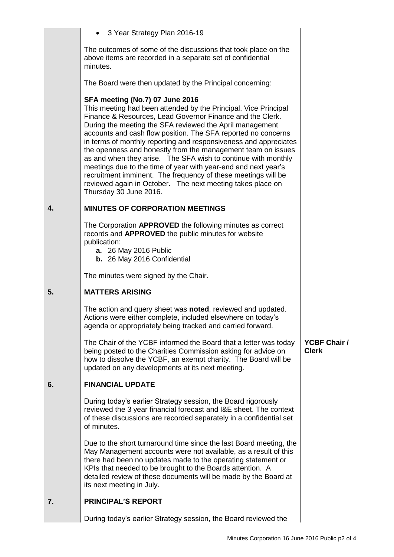|    | • 3 Year Strategy Plan 2016-19                                                                                                                                                                                                                                                                                                                                                                                                                                                                                                                                                                                                                                                                                                      |                                     |
|----|-------------------------------------------------------------------------------------------------------------------------------------------------------------------------------------------------------------------------------------------------------------------------------------------------------------------------------------------------------------------------------------------------------------------------------------------------------------------------------------------------------------------------------------------------------------------------------------------------------------------------------------------------------------------------------------------------------------------------------------|-------------------------------------|
|    | The outcomes of some of the discussions that took place on the<br>above items are recorded in a separate set of confidential<br>minutes.                                                                                                                                                                                                                                                                                                                                                                                                                                                                                                                                                                                            |                                     |
|    | The Board were then updated by the Principal concerning:                                                                                                                                                                                                                                                                                                                                                                                                                                                                                                                                                                                                                                                                            |                                     |
|    | <b>SFA meeting (No.7) 07 June 2016</b><br>This meeting had been attended by the Principal, Vice Principal<br>Finance & Resources, Lead Governor Finance and the Clerk.<br>During the meeting the SFA reviewed the April management<br>accounts and cash flow position. The SFA reported no concerns<br>in terms of monthly reporting and responsiveness and appreciates<br>the openness and honestly from the management team on issues<br>as and when they arise. The SFA wish to continue with monthly<br>meetings due to the time of year with year-end and next year's<br>recruitment imminent. The frequency of these meetings will be<br>reviewed again in October. The next meeting takes place on<br>Thursday 30 June 2016. |                                     |
| 4. | <b>MINUTES OF CORPORATION MEETINGS</b>                                                                                                                                                                                                                                                                                                                                                                                                                                                                                                                                                                                                                                                                                              |                                     |
|    | The Corporation APPROVED the following minutes as correct<br>records and APPROVED the public minutes for website<br>publication:<br><b>a.</b> 26 May 2016 Public<br><b>b.</b> 26 May 2016 Confidential                                                                                                                                                                                                                                                                                                                                                                                                                                                                                                                              |                                     |
|    | The minutes were signed by the Chair.                                                                                                                                                                                                                                                                                                                                                                                                                                                                                                                                                                                                                                                                                               |                                     |
| 5. | <b>MATTERS ARISING</b>                                                                                                                                                                                                                                                                                                                                                                                                                                                                                                                                                                                                                                                                                                              |                                     |
|    | The action and query sheet was noted, reviewed and updated.<br>Actions were either complete, included elsewhere on today's<br>agenda or appropriately being tracked and carried forward.                                                                                                                                                                                                                                                                                                                                                                                                                                                                                                                                            |                                     |
|    | The Chair of the YCBF informed the Board that a letter was today<br>being posted to the Charities Commission asking for advice on<br>how to dissolve the YCBF, an exempt charity. The Board will be<br>updated on any developments at its next meeting.                                                                                                                                                                                                                                                                                                                                                                                                                                                                             | <b>YCBF Chair /</b><br><b>Clerk</b> |
| 6. | <b>FINANCIAL UPDATE</b>                                                                                                                                                                                                                                                                                                                                                                                                                                                                                                                                                                                                                                                                                                             |                                     |
|    | During today's earlier Strategy session, the Board rigorously<br>reviewed the 3 year financial forecast and I&E sheet. The context<br>of these discussions are recorded separately in a confidential set<br>of minutes.                                                                                                                                                                                                                                                                                                                                                                                                                                                                                                             |                                     |
|    | Due to the short turnaround time since the last Board meeting, the<br>May Management accounts were not available, as a result of this<br>there had been no updates made to the operating statement or<br>KPIs that needed to be brought to the Boards attention. A<br>detailed review of these documents will be made by the Board at<br>its next meeting in July.                                                                                                                                                                                                                                                                                                                                                                  |                                     |
| 7. | <b>PRINCIPAL'S REPORT</b>                                                                                                                                                                                                                                                                                                                                                                                                                                                                                                                                                                                                                                                                                                           |                                     |
|    | During today's earlier Strategy session, the Board reviewed the                                                                                                                                                                                                                                                                                                                                                                                                                                                                                                                                                                                                                                                                     |                                     |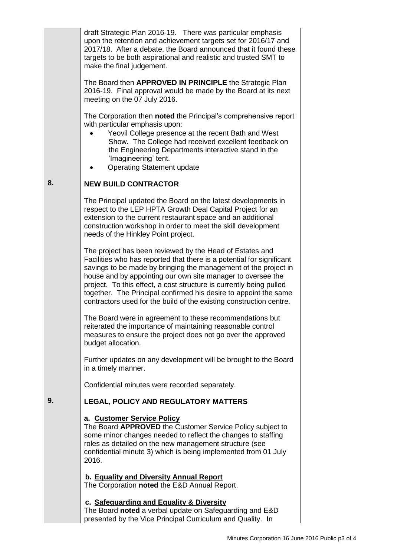draft Strategic Plan 2016-19. There was particular emphasis upon the retention and achievement targets set for 2016/17 and 2017/18. After a debate, the Board announced that it found these targets to be both aspirational and realistic and trusted SMT to make the final judgement.

The Board then **APPROVED IN PRINCIPLE** the Strategic Plan 2016-19. Final approval would be made by the Board at its next meeting on the 07 July 2016.

The Corporation then **noted** the Principal's comprehensive report with particular emphasis upon:

- Yeovil College presence at the recent Bath and West Show. The College had received excellent feedback on the Engineering Departments interactive stand in the 'Imagineering' tent.
- Operating Statement update

#### **8. NEW BUILD CONTRACTOR**

The Principal updated the Board on the latest developments in respect to the LEP HPTA Growth Deal Capital Project for an extension to the current restaurant space and an additional construction workshop in order to meet the skill development needs of the Hinkley Point project.

The project has been reviewed by the Head of Estates and Facilities who has reported that there is a potential for significant savings to be made by bringing the management of the project in house and by appointing our own site manager to oversee the project. To this effect, a cost structure is currently being pulled together. The Principal confirmed his desire to appoint the same contractors used for the build of the existing construction centre.

The Board were in agreement to these recommendations but reiterated the importance of maintaining reasonable control measures to ensure the project does not go over the approved budget allocation.

Further updates on any development will be brought to the Board in a timely manner.

Confidential minutes were recorded separately.

# **LEGAL, POLICY AND REGULATORY MATTERS**

### **a. Customer Service Policy**

**9.**

The Board **APPROVED** the Customer Service Policy subject to some minor changes needed to reflect the changes to staffing roles as detailed on the new management structure (see confidential minute 3) which is being implemented from 01 July 2016.

**b. Equality and Diversity Annual Report**  The Corporation **noted** the E&D Annual Report.

## **c. Safeguarding and Equality & Diversity**

The Board **noted** a verbal update on Safeguarding and E&D presented by the Vice Principal Curriculum and Quality. In